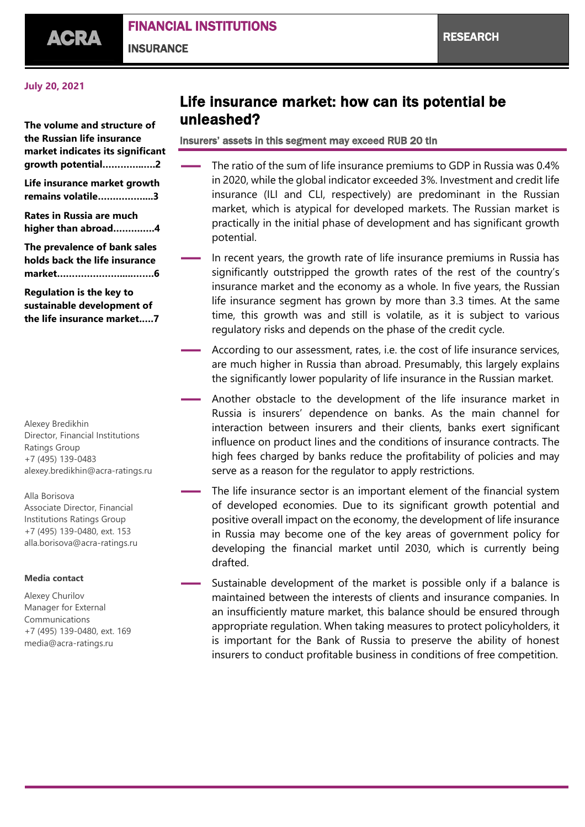### **July 20, 2021**

**The volume and structure of the Russian life insurance market indicates its significant growth potential…………..….2**

**Life insurance market growth remains volatile……………....3**

**Rates in Russia are much higher than abroad……….….4**

**The prevalence of bank sales holds back the life insurance market………………….....…….6**

**Regulation is the key to sustainable development of the life insurance market.….7**

Alexey Bredikhin Director, Financial Institutions Ratings Group +7 (495) 139-0483 [alexey.bredikhin@acra-ratings.ru](mailto:alexey.bredikhin@acra-ratings.ru)

Alla Borisova Associate Director, Financial Institutions Ratings Group +7 (495) 139-0480, ext. 153 [alla.borisova@acra-ratings.ru](mailto:alla.borisova@acra-ratings.ru)

#### **Media contact**

Alexey Churilov Manager for External Communications +7 (495) 139-0480, ext. 169 [media@acra-ratings.ru](mailto:media@acra-ratings.ru)

# Life insurance market: how can its potential be unleashed?

### Insurers' assets in this segment may exceed RUB 20 tln

- **—** The ratio of the sum of life insurance premiums to GDP in Russia was 0.4% in 2020, while the global indicator exceeded 3%. Investment and credit life insurance (ILI and CLI, respectively) are predominant in the Russian market, which is atypical for developed markets. The Russian market is practically in the initial phase of development and has significant growth potential.
- In recent years, the growth rate of life insurance premiums in Russia has significantly outstripped the growth rates of the rest of the country's insurance market and the economy as a whole. In five years, the Russian life insurance segment has grown by more than 3.3 times. At the same time, this growth was and still is volatile, as it is subject to various regulatory risks and depends on the phase of the credit cycle.
- **—** According to our assessment, rates, i.e. the cost of life insurance services, are much higher in Russia than abroad. Presumably, this largely explains the significantly lower popularity of life insurance in the Russian market.
- **—** Another obstacle to the development of the life insurance market in Russia is insurers' dependence on banks. As the main channel for interaction between insurers and their clients, banks exert significant influence on product lines and the conditions of insurance contracts. The high fees charged by banks reduce the profitability of policies and may serve as a reason for the regulator to apply restrictions.
- The life insurance sector is an important element of the financial system of developed economies. Due to its significant growth potential and positive overall impact on the economy, the development of life insurance in Russia may become one of the key areas of government policy for developing the financial market until 2030, which is currently being drafted.
	- **—** Sustainable development of the market is possible only if a balance is maintained between the interests of clients and insurance companies. In an insufficiently mature market, this balance should be ensured through appropriate regulation. When taking measures to protect policyholders, it is important for the Bank of Russia to preserve the ability of honest insurers to conduct profitable business in conditions of free competition.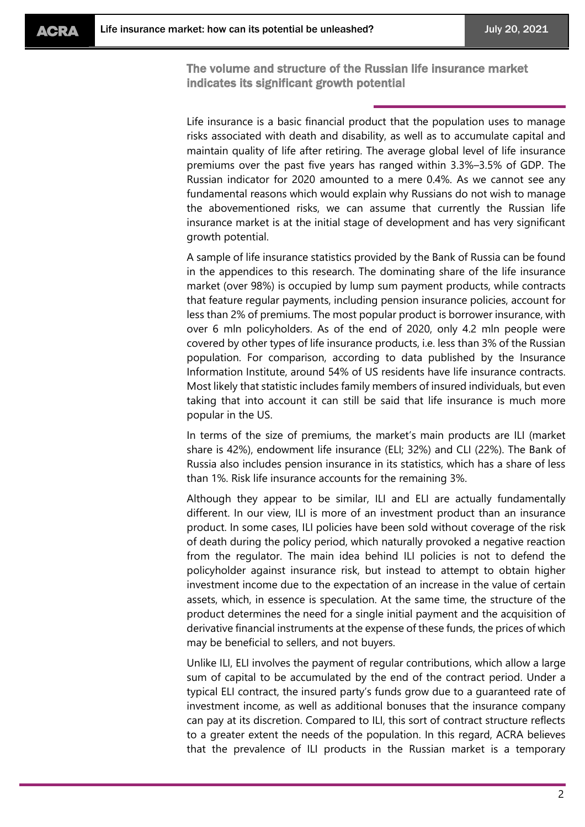The volume and structure of the Russian life insurance market indicates its significant growth potential

Life insurance is a basic financial product that the population uses to manage risks associated with death and disability, as well as to accumulate capital and maintain quality of life after retiring. The average global level of life insurance premiums over the past five years has ranged within 3.3%–3.5% of GDP. The Russian indicator for 2020 amounted to a mere 0.4%. As we cannot see any fundamental reasons which would explain why Russians do not wish to manage the abovementioned risks, we can assume that currently the Russian life insurance market is at the initial stage of development and has very significant growth potential.

A sample of life insurance statistics provided by the Bank of Russia can be found in the appendices to this research. The dominating share of the life insurance market (over 98%) is occupied by lump sum payment products, while contracts that feature regular payments, including pension insurance policies, account for less than 2% of premiums. The most popular product is borrower insurance, with over 6 mln policyholders. As of the end of 2020, only 4.2 mln people were covered by other types of life insurance products, i.e. less than 3% of the Russian population. For comparison, according to data published by the Insurance Information Institute, around 54% of US residents have life insurance contracts. Most likely that statistic includes family members of insured individuals, but even taking that into account it can still be said that life insurance is much more popular in the US.

In terms of the size of premiums, the market's main products are ILI (market share is 42%), endowment life insurance (ELI; 32%) and CLI (22%). The Bank of Russia also includes pension insurance in its statistics, which has a share of less than 1%. Risk life insurance accounts for the remaining 3%.

Although they appear to be similar, ILI and ELI are actually fundamentally different. In our view, ILI is more of an investment product than an insurance product. In some cases, ILI policies have been sold without coverage of the risk of death during the policy period, which naturally provoked a negative reaction from the regulator. The main idea behind ILI policies is not to defend the policyholder against insurance risk, but instead to attempt to obtain higher investment income due to the expectation of an increase in the value of certain assets, which, in essence is speculation. At the same time, the structure of the product determines the need for a single initial payment and the acquisition of derivative financial instruments at the expense of these funds, the prices of which may be beneficial to sellers, and not buyers.

Unlike ILI, ELI involves the payment of regular contributions, which allow a large sum of capital to be accumulated by the end of the contract period. Under a typical ELI contract, the insured party's funds grow due to a guaranteed rate of investment income, as well as additional bonuses that the insurance company can pay at its discretion. Compared to ILI, this sort of contract structure reflects to a greater extent the needs of the population. In this regard, ACRA believes that the prevalence of ILI products in the Russian market is a temporary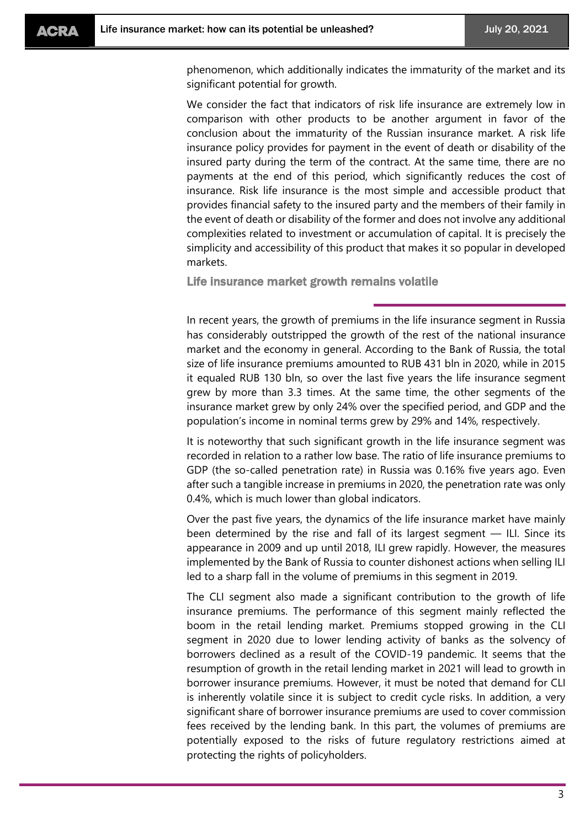phenomenon, which additionally indicates the immaturity of the market and its significant potential for growth.

We consider the fact that indicators of risk life insurance are extremely low in comparison with other products to be another argument in favor of the conclusion about the immaturity of the Russian insurance market. A risk life insurance policy provides for payment in the event of death or disability of the insured party during the term of the contract. At the same time, there are no payments at the end of this period, which significantly reduces the cost of insurance. Risk life insurance is the most simple and accessible product that provides financial safety to the insured party and the members of their family in the event of death or disability of the former and does not involve any additional complexities related to investment or accumulation of capital. It is precisely the simplicity and accessibility of this product that makes it so popular in developed markets.

Life insurance market growth remains volatile

In recent years, the growth of premiums in the life insurance segment in Russia has considerably outstripped the growth of the rest of the national insurance market and the economy in general. According to the Bank of Russia, the total size of life insurance premiums amounted to RUB 431 bln in 2020, while in 2015 it equaled RUB 130 bln, so over the last five years the life insurance segment grew by more than 3.3 times. At the same time, the other segments of the insurance market grew by only 24% over the specified period, and GDP and the population's income in nominal terms grew by 29% and 14%, respectively.

It is noteworthy that such significant growth in the life insurance segment was recorded in relation to a rather low base. The ratio of life insurance premiums to GDP (the so-called penetration rate) in Russia was 0.16% five years ago. Even after such a tangible increase in premiums in 2020, the penetration rate was only 0.4%, which is much lower than global indicators.

Over the past five years, the dynamics of the life insurance market have mainly been determined by the rise and fall of its largest segment — ILI. Since its appearance in 2009 and up until 2018, ILI grew rapidly. However, the measures implemented by the Bank of Russia to counter dishonest actions when selling ILI led to a sharp fall in the volume of premiums in this segment in 2019.

The CLI segment also made a significant contribution to the growth of life insurance premiums. The performance of this segment mainly reflected the boom in the retail lending market. Premiums stopped growing in the CLI segment in 2020 due to lower lending activity of banks as the solvency of borrowers declined as a result of the COVID-19 pandemic. It seems that the resumption of growth in the retail lending market in 2021 will lead to growth in borrower insurance premiums. However, it must be noted that demand for CLI is inherently volatile since it is subject to credit cycle risks. In addition, a very significant share of borrower insurance premiums are used to cover commission fees received by the lending bank. In this part, the volumes of premiums are potentially exposed to the risks of future regulatory restrictions aimed at protecting the rights of policyholders.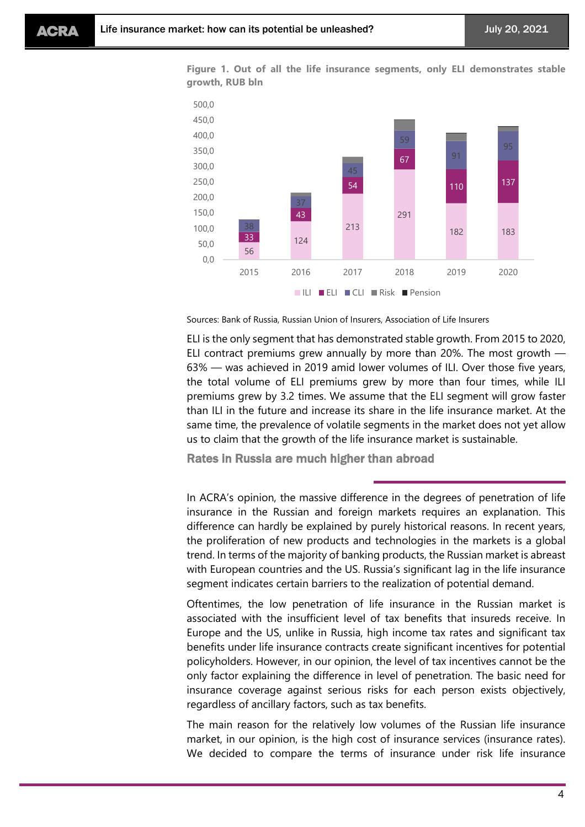**Figure 1. Out of all the life insurance segments, only ELI demonstrates stable growth, RUB bln**



Sources: Bank of Russia, Russian Union of Insurers, Association of Life Insurers

ELI is the only segment that has demonstrated stable growth. From 2015 to 2020, ELI contract premiums grew annually by more than 20%. The most growth — 63% — was achieved in 2019 amid lower volumes of ILI. Over those five years, the total volume of ELI premiums grew by more than four times, while ILI premiums grew by 3.2 times. We assume that the ELI segment will grow faster than ILI in the future and increase its share in the life insurance market. At the same time, the prevalence of volatile segments in the market does not yet allow us to claim that the growth of the life insurance market is sustainable.

Rates in Russia are much higher than abroad

In ACRA's opinion, the massive difference in the degrees of penetration of life insurance in the Russian and foreign markets requires an explanation. This difference can hardly be explained by purely historical reasons. In recent years, the proliferation of new products and technologies in the markets is a global trend. In terms of the majority of banking products, the Russian market is abreast with European countries and the US. Russia's significant lag in the life insurance segment indicates certain barriers to the realization of potential demand.

Oftentimes, the low penetration of life insurance in the Russian market is associated with the insufficient level of tax benefits that insureds receive. In Europe and the US, unlike in Russia, high income tax rates and significant tax benefits under life insurance contracts create significant incentives for potential policyholders. However, in our opinion, the level of tax incentives cannot be the only factor explaining the difference in level of penetration. The basic need for insurance coverage against serious risks for each person exists objectively, regardless of ancillary factors, such as tax benefits.

The main reason for the relatively low volumes of the Russian life insurance market, in our opinion, is the high cost of insurance services (insurance rates). We decided to compare the terms of insurance under risk life insurance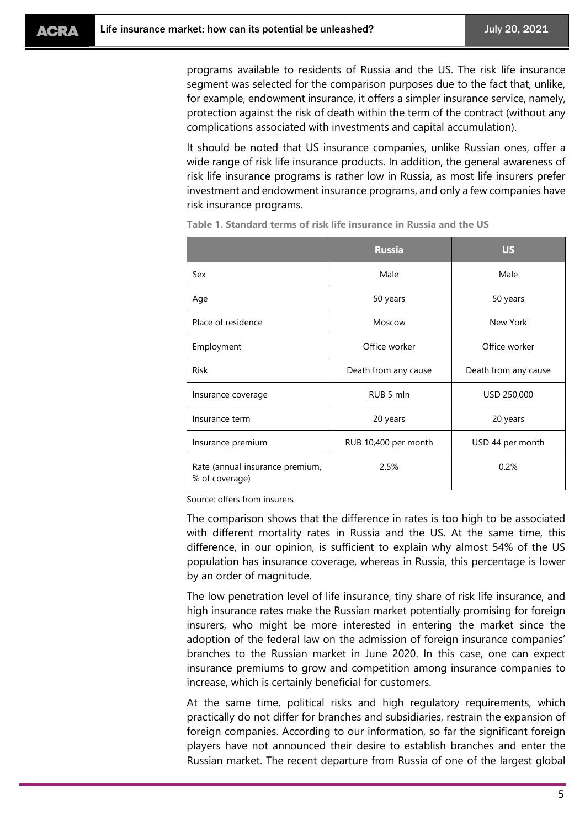programs available to residents of Russia and the US. The risk life insurance segment was selected for the comparison purposes due to the fact that, unlike, for example, endowment insurance, it offers a simpler insurance service, namely, protection against the risk of death within the term of the contract (without any complications associated with investments and capital accumulation).

It should be noted that US insurance companies, unlike Russian ones, offer a wide range of risk life insurance products. In addition, the general awareness of risk life insurance programs is rather low in Russia, as most life insurers prefer investment and endowment insurance programs, and only a few companies have risk insurance programs.

|                                                   | <b>Russia</b>        | US                   |  |
|---------------------------------------------------|----------------------|----------------------|--|
| Sex                                               | Male                 | Male                 |  |
| Age                                               | 50 years             | 50 years             |  |
| Place of residence                                | Moscow               | New York             |  |
| Employment                                        | Office worker        | Office worker        |  |
| <b>Risk</b>                                       | Death from any cause | Death from any cause |  |
| Insurance coverage                                | RUB 5 mln            | USD 250,000          |  |
| Insurance term                                    | 20 years             | 20 years             |  |
| Insurance premium                                 | RUB 10,400 per month | USD 44 per month     |  |
| Rate (annual insurance premium,<br>% of coverage) | 2.5%                 | 0.2%                 |  |

**Table 1. Standard terms of risk life insurance in Russia and the US**

Source: offers from insurers

The comparison shows that the difference in rates is too high to be associated with different mortality rates in Russia and the US. At the same time, this difference, in our opinion, is sufficient to explain why almost 54% of the US population has insurance coverage, whereas in Russia, this percentage is lower by an order of magnitude.

The low penetration level of life insurance, tiny share of risk life insurance, and high insurance rates make the Russian market potentially promising for foreign insurers, who might be more interested in entering the market since the adoption of the federal law on the admission of foreign insurance companies' branches to the Russian market in June 2020. In this case, one can expect insurance premiums to grow and competition among insurance companies to increase, which is certainly beneficial for customers.

At the same time, political risks and high regulatory requirements, which practically do not differ for branches and subsidiaries, restrain the expansion of foreign companies. According to our information, so far the significant foreign players have not announced their desire to establish branches and enter the Russian market. The recent departure from Russia of one of the largest global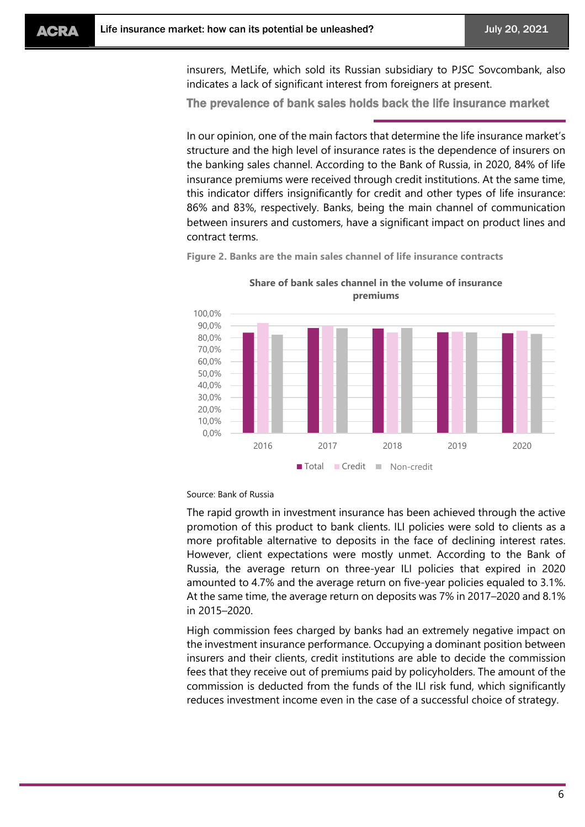insurers, MetLife, which sold its Russian subsidiary to PJSC Sovcombank, also indicates a lack of significant interest from foreigners at present.

The prevalence of bank sales holds back the life insurance market

In our opinion, one of the main factors that determine the life insurance market's structure and the high level of insurance rates is the dependence of insurers on the banking sales channel. According to the Bank of Russia, in 2020, 84% of life insurance premiums were received through credit institutions. At the same time, this indicator differs insignificantly for credit and other types of life insurance: 86% and 83%, respectively. Banks, being the main channel of communication between insurers and customers, have a significant impact on product lines and contract terms.

**Figure 2. Banks are the main sales channel of life insurance contracts**



**Share of bank sales channel in the volume of insurance premiums**

#### Source: Bank of Russia

The rapid growth in investment insurance has been achieved through the active promotion of this product to bank clients. ILI policies were sold to clients as a more profitable alternative to deposits in the face of declining interest rates. However, client expectations were mostly unmet. According to the Bank of Russia, the average return on three-year ILI policies that expired in 2020 amounted to 4.7% and the average return on five-year policies equaled to 3.1%. At the same time, the average return on deposits was 7% in 2017–2020 and 8.1% in 2015–2020.

High commission fees charged by banks had an extremely negative impact on the investment insurance performance. Occupying a dominant position between insurers and their clients, credit institutions are able to decide the commission fees that they receive out of premiums paid by policyholders. The amount of the commission is deducted from the funds of the ILI risk fund, which significantly reduces investment income even in the case of a successful choice of strategy.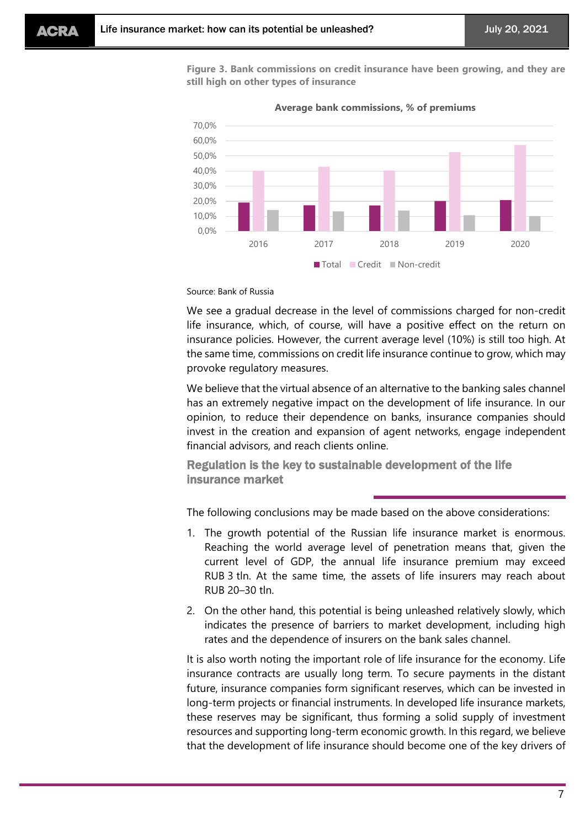**Figure 3. Bank commissions on credit insurance have been growing, and they are still high on other types of insurance**



**Average bank commissions, % of premiums**

#### Source: Bank of Russia

We see a gradual decrease in the level of commissions charged for non-credit life insurance, which, of course, will have a positive effect on the return on insurance policies. However, the current average level (10%) is still too high. At the same time, commissions on credit life insurance continue to grow, which may provoke regulatory measures.

We believe that the virtual absence of an alternative to the banking sales channel has an extremely negative impact on the development of life insurance. In our opinion, to reduce their dependence on banks, insurance companies should invest in the creation and expansion of agent networks, engage independent financial advisors, and reach clients online.

Regulation is the key to sustainable development of the life insurance market

The following conclusions may be made based on the above considerations:

- 1. The growth potential of the Russian life insurance market is enormous. Reaching the world average level of penetration means that, given the current level of GDP, the annual life insurance premium may exceed RUB 3 tln. At the same time, the assets of life insurers may reach about RUB 20–30 tln.
- 2. On the other hand, this potential is being unleashed relatively slowly, which indicates the presence of barriers to market development, including high rates and the dependence of insurers on the bank sales channel.

It is also worth noting the important role of life insurance for the economy. Life insurance contracts are usually long term. To secure payments in the distant future, insurance companies form significant reserves, which can be invested in long-term projects or financial instruments. In developed life insurance markets, these reserves may be significant, thus forming a solid supply of investment resources and supporting long-term economic growth. In this regard, we believe that the development of life insurance should become one of the key drivers of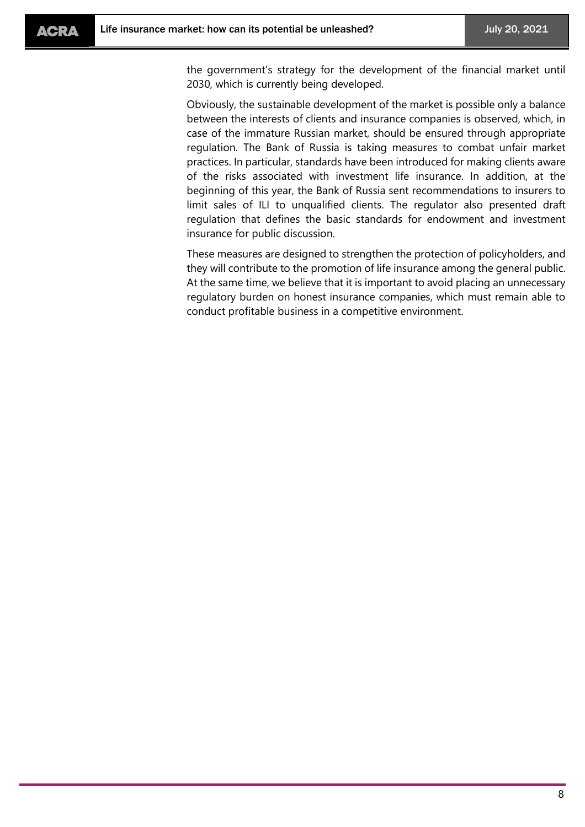the government's strategy for the development of the financial market until 2030, which is currently being developed.

Obviously, the sustainable development of the market is possible only a balance between the interests of clients and insurance companies is observed, which, in case of the immature Russian market, should be ensured through appropriate regulation. The Bank of Russia is taking measures to combat unfair market practices. In particular, standards have been introduced for making clients aware of the risks associated with investment life insurance. In addition, at the beginning of this year, the Bank of Russia sent recommendations to insurers to limit sales of ILI to unqualified clients. The regulator also presented draft regulation that defines the basic standards for endowment and investment insurance for public discussion.

These measures are designed to strengthen the protection of policyholders, and they will contribute to the promotion of life insurance among the general public. At the same time, we believe that it is important to avoid placing an unnecessary regulatory burden on honest insurance companies, which must remain able to conduct profitable business in a competitive environment.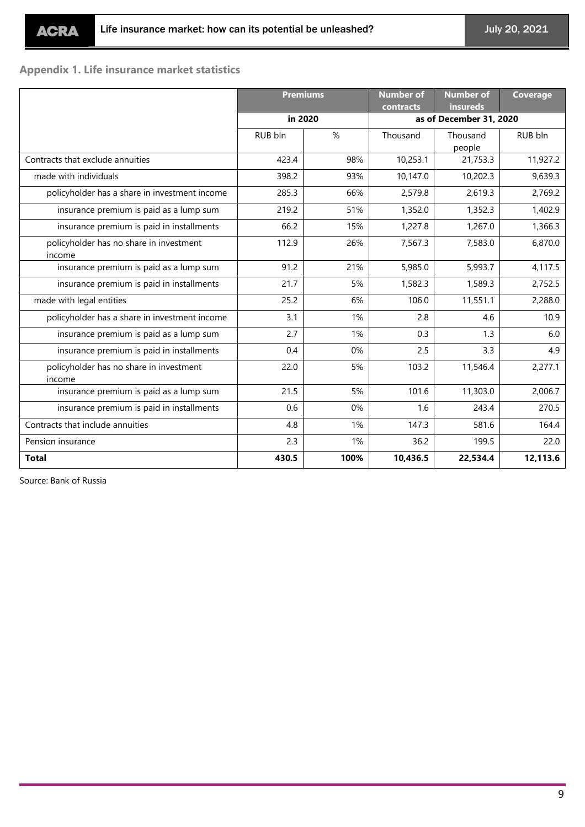# **Appendix 1. Life insurance market statistics**

|                                                   | <b>Premiums</b><br>in 2020 |      | <b>Number of</b><br>contracts | <b>Number of</b><br><b>insureds</b> | <b>Coverage</b> |
|---------------------------------------------------|----------------------------|------|-------------------------------|-------------------------------------|-----------------|
|                                                   |                            |      | as of December 31, 2020       |                                     |                 |
|                                                   | RUB bln                    | %    | Thousand                      | Thousand<br>people                  | RUB bln         |
| Contracts that exclude annuities                  | 423.4                      | 98%  | 10,253.1                      | 21,753.3                            | 11,927.2        |
| made with individuals                             | 398.2                      | 93%  | 10,147.0                      | 10,202.3                            | 9,639.3         |
| policyholder has a share in investment income     | 285.3                      | 66%  | 2,579.8                       | 2,619.3                             | 2,769.2         |
| insurance premium is paid as a lump sum           | 219.2                      | 51%  | 1,352.0                       | 1,352.3                             | 1,402.9         |
| insurance premium is paid in installments         | 66.2                       | 15%  | 1,227.8                       | 1,267.0                             | 1,366.3         |
| policyholder has no share in investment<br>income | 112.9                      | 26%  | 7,567.3                       | 7,583.0                             | 6,870.0         |
| insurance premium is paid as a lump sum           | 91.2                       | 21%  | 5,985.0                       | 5,993.7                             | 4,117.5         |
| insurance premium is paid in installments         | 21.7                       | 5%   | 1,582.3                       | 1,589.3                             | 2,752.5         |
| made with legal entities                          | 25.2                       | 6%   | 106.0                         | 11,551.1                            | 2,288.0         |
| policyholder has a share in investment income     | 3.1                        | 1%   | 2.8                           | 4.6                                 | 10.9            |
| insurance premium is paid as a lump sum           | 2.7                        | 1%   | 0.3                           | 1.3                                 | 6.0             |
| insurance premium is paid in installments         | 0.4                        | 0%   | 2.5                           | 3.3                                 | 4.9             |
| policyholder has no share in investment<br>income | 22.0                       | 5%   | 103.2                         | 11,546.4                            | 2,277.1         |
| insurance premium is paid as a lump sum           | 21.5                       | 5%   | 101.6                         | 11,303.0                            | 2,006.7         |
| insurance premium is paid in installments         | 0.6                        | 0%   | 1.6                           | 243.4                               | 270.5           |
| Contracts that include annuities                  | 4.8                        | 1%   | 147.3                         | 581.6                               | 164.4           |
| Pension insurance                                 | 2.3                        | 1%   | 36.2                          | 199.5                               | 22.0            |
| <b>Total</b>                                      | 430.5                      | 100% | 10,436.5                      | 22,534.4                            | 12,113.6        |

Source: Bank of Russia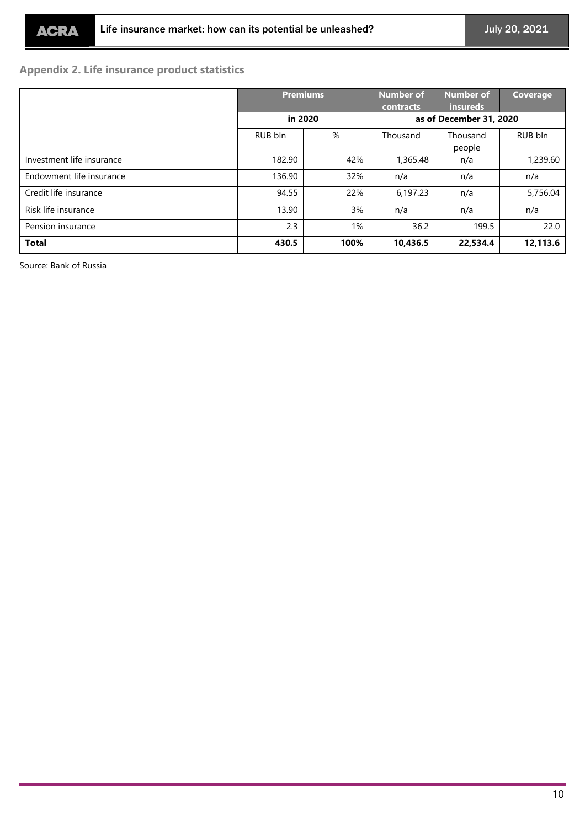# **Appendix 2. Life insurance product statistics**

|                           | <b>Premiums</b><br>in 2020 |      | <b>Number of</b><br>contracts | <b>Number of</b><br><b>insureds</b> | Coverage |
|---------------------------|----------------------------|------|-------------------------------|-------------------------------------|----------|
|                           |                            |      | as of December 31, 2020       |                                     |          |
|                           | RUB bln                    | $\%$ | Thousand                      | Thousand<br>people                  | RUB bln  |
| Investment life insurance | 182.90                     | 42%  | 1,365.48                      | n/a                                 | 1,239.60 |
| Endowment life insurance  | 136.90                     | 32%  | n/a                           | n/a                                 | n/a      |
| Credit life insurance     | 94.55                      | 22%  | 6.197.23                      | n/a                                 | 5,756.04 |
| Risk life insurance       | 13.90                      | 3%   | n/a                           | n/a                                 | n/a      |
| Pension insurance         | 2.3                        | 1%   | 36.2                          | 199.5                               | 22.0     |
| <b>Total</b>              | 430.5                      | 100% | 10,436.5                      | 22,534.4                            | 12,113.6 |

Source: Bank of Russia